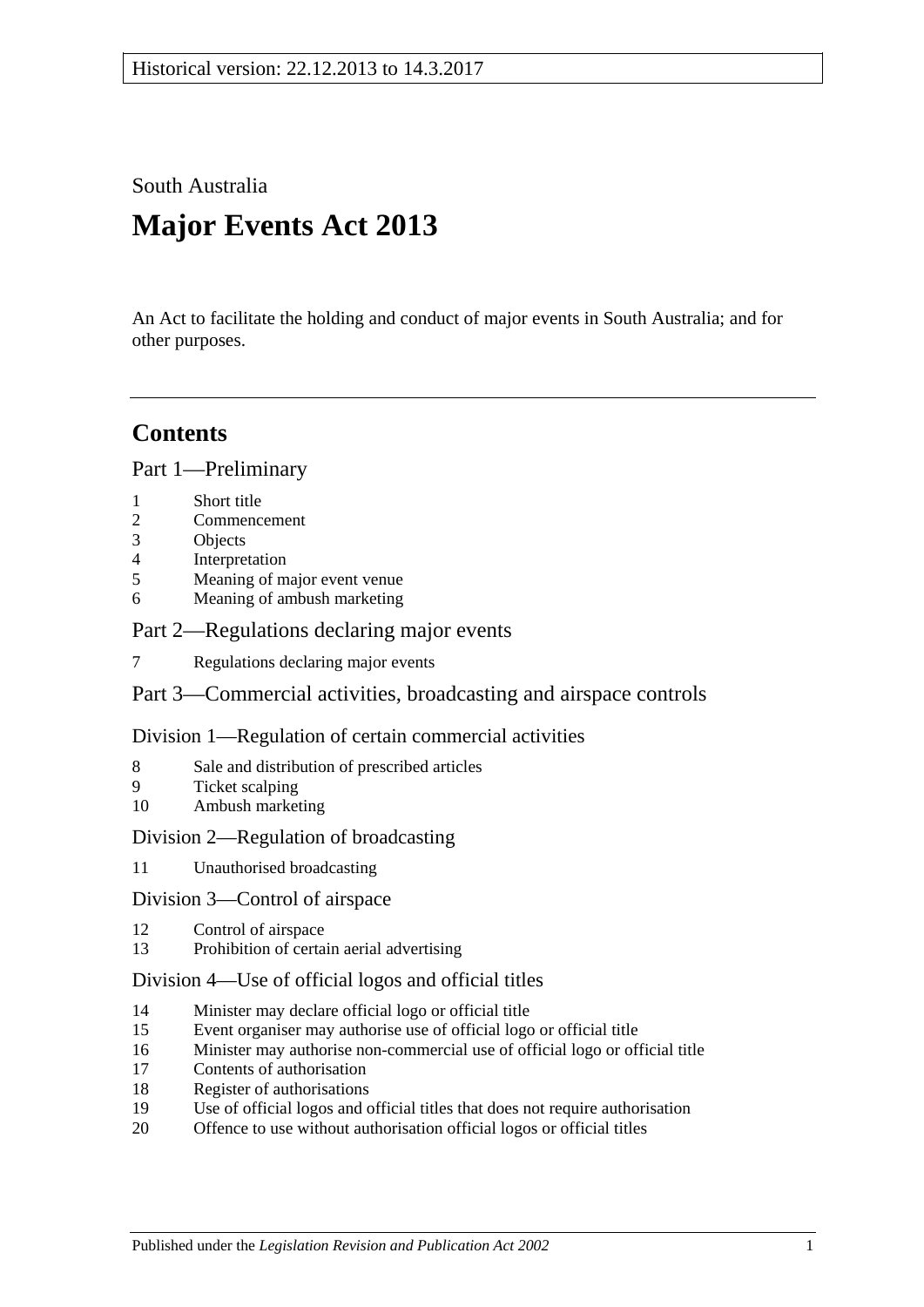South Australia

# **Major Events Act 2013**

An Act to facilitate the holding and conduct of major events in South Australia; and for other purposes.

# **Contents**

Part [1—Preliminary](#page-1-0)

- 1 [Short title](#page-1-1)
- 2 [Commencement](#page-1-2)
- 3 [Objects](#page-1-3)
- 4 [Interpretation](#page-1-4)
- 5 [Meaning of major event venue](#page-2-0)
- 6 [Meaning of ambush marketing](#page-3-0)

Part [2—Regulations declaring major events](#page-3-1)

7 [Regulations declaring major events](#page-3-2)

Part [3—Commercial activities, broadcasting and airspace controls](#page-5-0)

Division [1—Regulation of certain commercial activities](#page-5-1)

- 8 [Sale and distribution of prescribed articles](#page-5-2)
- 9 [Ticket scalping](#page-6-0)
- 10 [Ambush marketing](#page-6-1)

# Division [2—Regulation of broadcasting](#page-7-0)

11 [Unauthorised broadcasting](#page-7-1)

Division [3—Control of airspace](#page-7-2)

- 12 [Control of airspace](#page-7-3)
- 13 [Prohibition of certain aerial advertising](#page-8-0)

### Division [4—Use of official logos and official titles](#page-9-0)

- 14 [Minister may declare official logo or official title](#page-9-1)
- 15 [Event organiser may authorise use of official logo or official title](#page-9-2)
- 16 [Minister may authorise non-commercial use of official logo or official title](#page-9-3)
- 17 [Contents of authorisation](#page-9-4)
- 18 [Register of authorisations](#page-10-0)
- 19 [Use of official logos and official titles that does not require authorisation](#page-10-1)
- 20 [Offence to use without authorisation official logos or official titles](#page-11-0)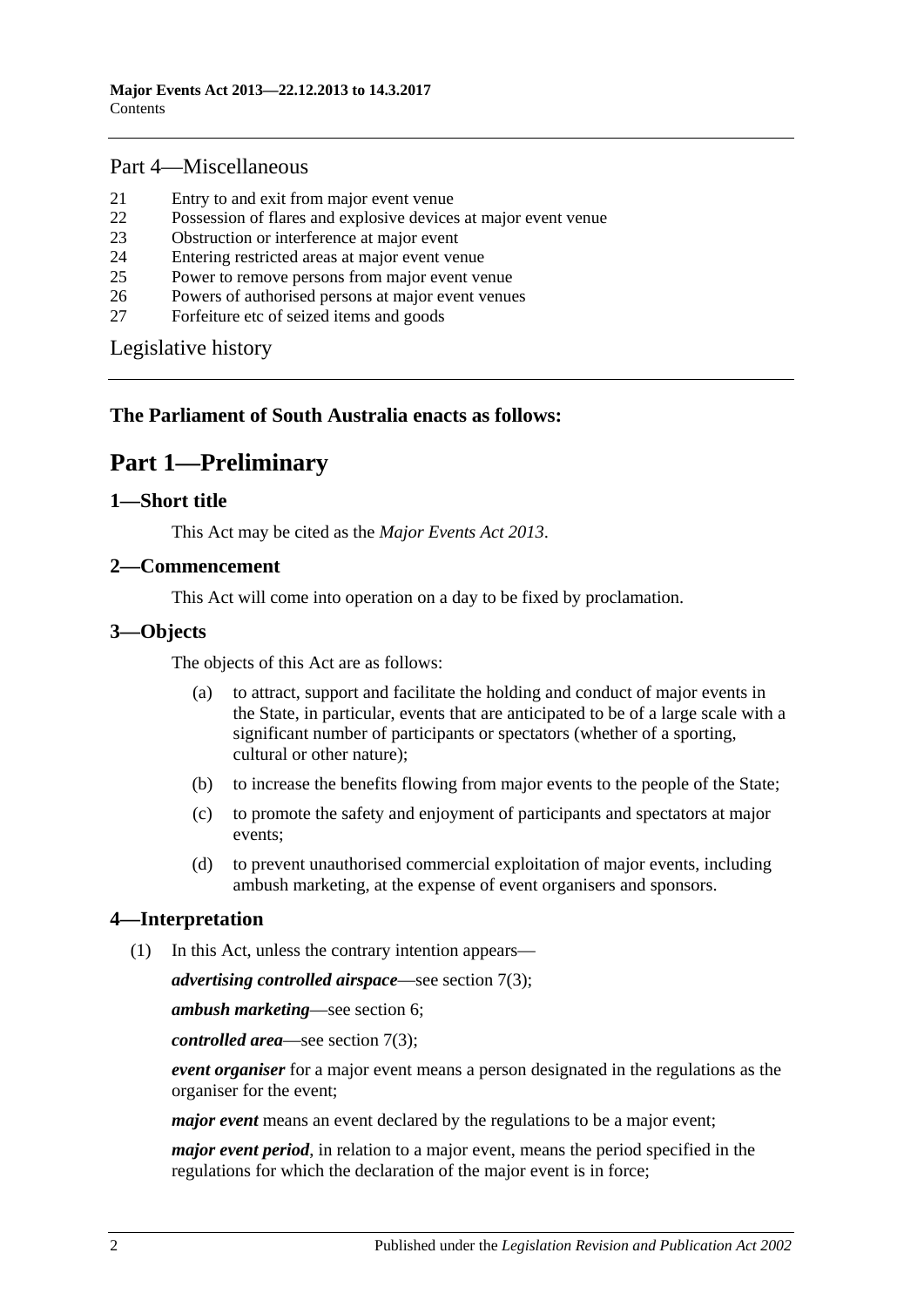# Part [4—Miscellaneous](#page-12-0)

- 21 [Entry to and exit from major event venue](#page-12-1)
- 22 [Possession of flares and explosive devices at major event venue](#page-12-2)
- 23 [Obstruction or interference at major event](#page-12-3)
- 24 [Entering restricted areas at major event venue](#page-13-0)
- 25 [Power to remove persons from major event venue](#page-13-1)
- 26 [Powers of authorised persons at major event venues](#page-14-0)
- 27 [Forfeiture etc of seized items and goods](#page-15-0)

[Legislative history](#page-16-0)

### <span id="page-1-0"></span>**The Parliament of South Australia enacts as follows:**

# **Part 1—Preliminary**

### <span id="page-1-1"></span>**1—Short title**

This Act may be cited as the *Major Events Act 2013*.

### <span id="page-1-2"></span>**2—Commencement**

This Act will come into operation on a day to be fixed by proclamation.

### <span id="page-1-3"></span>**3—Objects**

The objects of this Act are as follows:

- (a) to attract, support and facilitate the holding and conduct of major events in the State, in particular, events that are anticipated to be of a large scale with a significant number of participants or spectators (whether of a sporting, cultural or other nature);
- (b) to increase the benefits flowing from major events to the people of the State;
- (c) to promote the safety and enjoyment of participants and spectators at major events;
- (d) to prevent unauthorised commercial exploitation of major events, including ambush marketing, at the expense of event organisers and sponsors.

# <span id="page-1-4"></span>**4—Interpretation**

(1) In this Act, unless the contrary intention appears—

*advertising controlled airspace*—see [section](#page-4-0) 7(3);

*ambush marketing*—see [section](#page-3-0) 6;

*controlled area*—see [section](#page-4-0) 7(3);

*event organiser* for a major event means a person designated in the regulations as the organiser for the event;

*major event* means an event declared by the regulations to be a major event;

*major event period*, in relation to a major event, means the period specified in the regulations for which the declaration of the major event is in force;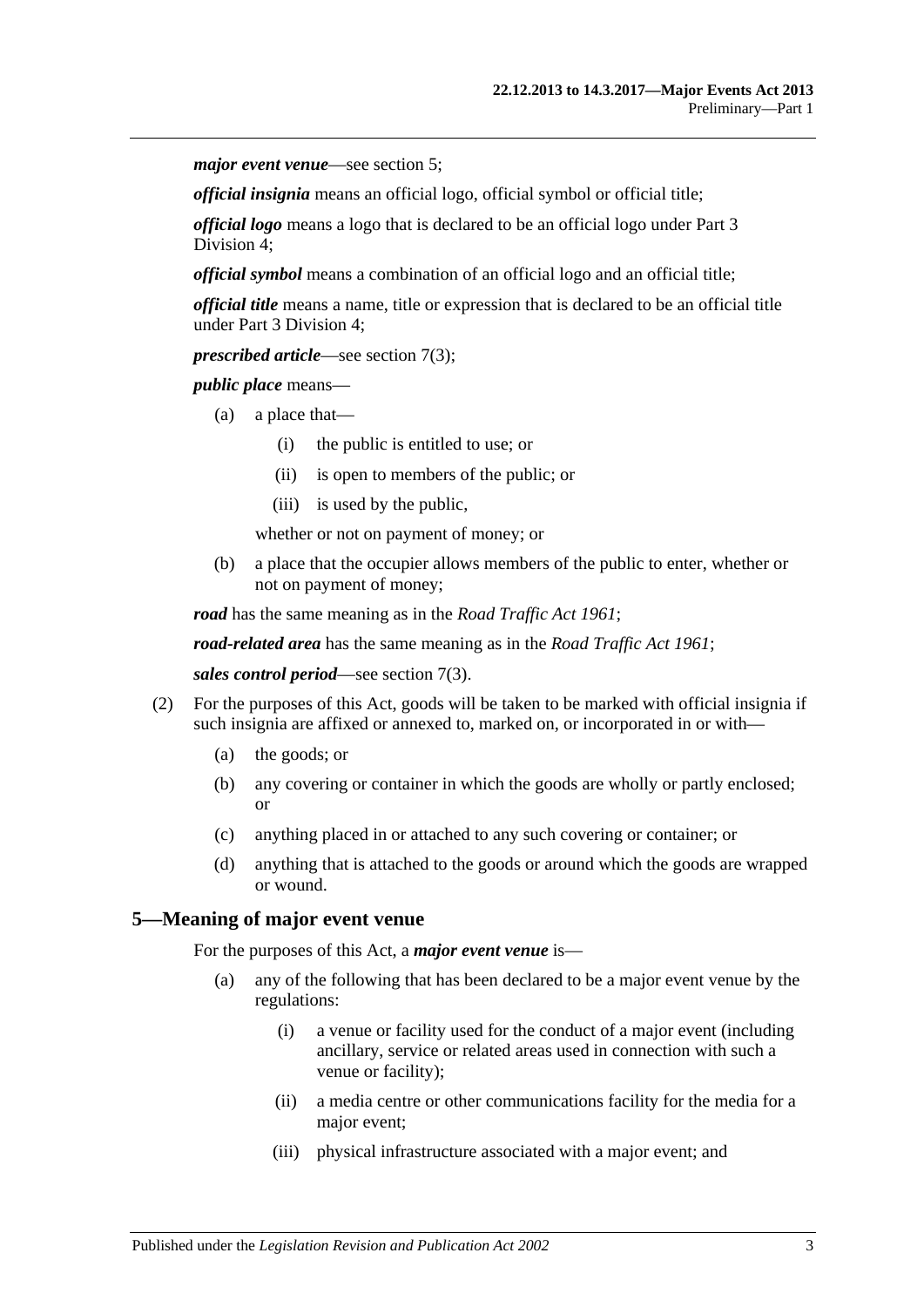*major event venue*—see [section](#page-2-0) 5;

*official insignia* means an official logo, official symbol or official title;

*official logo* means a logo that is declared to be an official logo under [Part](#page-9-0) 3 [Division](#page-9-0) 4;

*official symbol* means a combination of an official logo and an official title;

*official title* means a name, title or expression that is declared to be an official title under Part [3 Division](#page-9-0) 4;

*prescribed article*—see [section](#page-4-0) 7(3);

*public place* means—

- (a) a place that—
	- (i) the public is entitled to use; or
	- (ii) is open to members of the public; or
	- (iii) is used by the public,

whether or not on payment of money; or

(b) a place that the occupier allows members of the public to enter, whether or not on payment of money;

*road* has the same meaning as in the *[Road Traffic Act](http://www.legislation.sa.gov.au/index.aspx?action=legref&type=act&legtitle=Road%20Traffic%20Act%201961) 1961*;

*road-related area* has the same meaning as in the *[Road Traffic Act](http://www.legislation.sa.gov.au/index.aspx?action=legref&type=act&legtitle=Road%20Traffic%20Act%201961) 1961*;

*sales control period*—see [section](#page-4-0) 7(3).

- (2) For the purposes of this Act, goods will be taken to be marked with official insignia if such insignia are affixed or annexed to, marked on, or incorporated in or with—
	- (a) the goods; or
	- (b) any covering or container in which the goods are wholly or partly enclosed; or
	- (c) anything placed in or attached to any such covering or container; or
	- (d) anything that is attached to the goods or around which the goods are wrapped or wound.

### <span id="page-2-0"></span>**5—Meaning of major event venue**

For the purposes of this Act, a *major event venue* is—

- (a) any of the following that has been declared to be a major event venue by the regulations:
	- (i) a venue or facility used for the conduct of a major event (including ancillary, service or related areas used in connection with such a venue or facility);
	- (ii) a media centre or other communications facility for the media for a major event;
	- (iii) physical infrastructure associated with a major event; and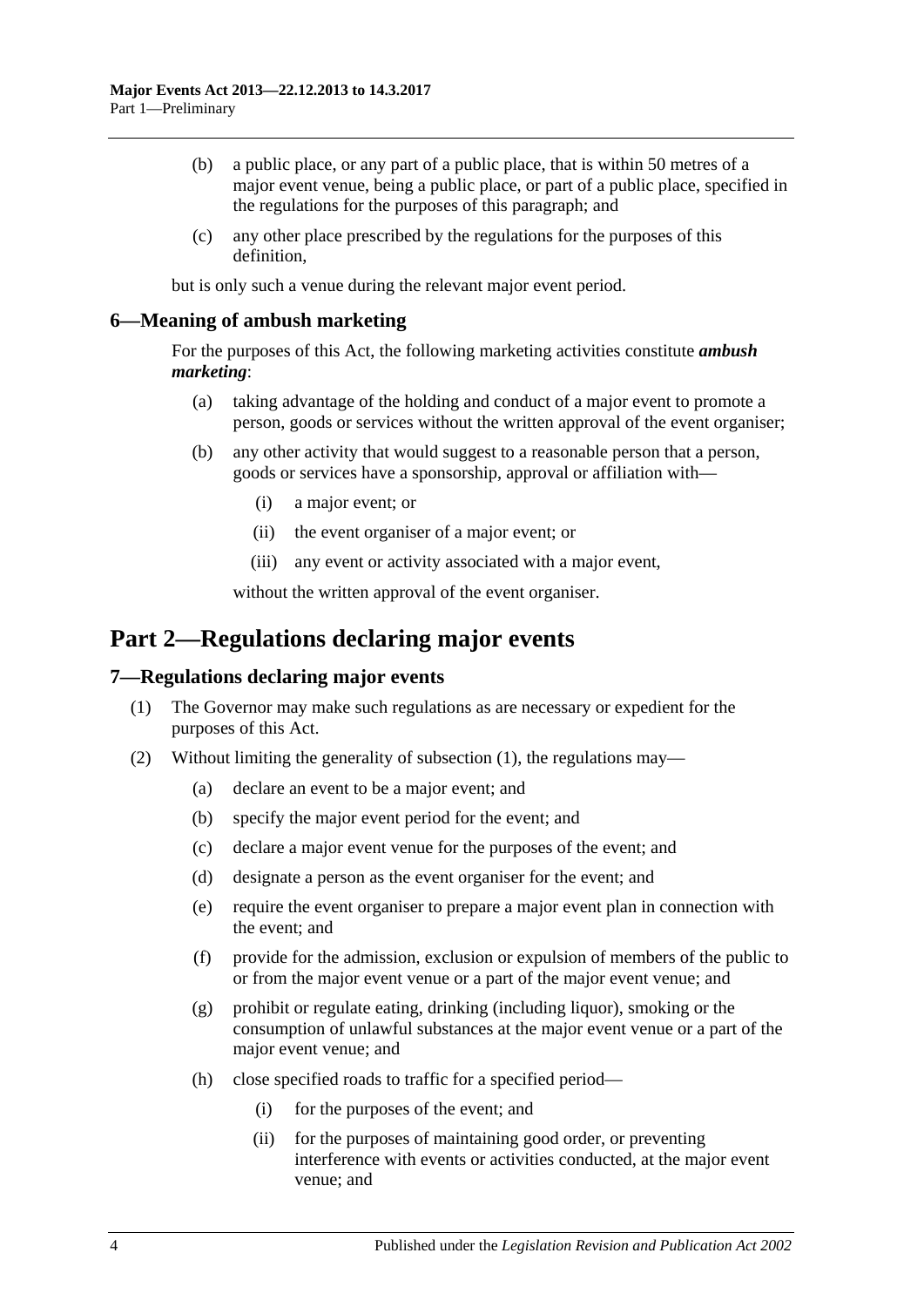- (b) a public place, or any part of a public place, that is within 50 metres of a major event venue, being a public place, or part of a public place, specified in the regulations for the purposes of this paragraph; and
- (c) any other place prescribed by the regulations for the purposes of this definition,

but is only such a venue during the relevant major event period.

### <span id="page-3-0"></span>**6—Meaning of ambush marketing**

For the purposes of this Act, the following marketing activities constitute *ambush marketing*:

- (a) taking advantage of the holding and conduct of a major event to promote a person, goods or services without the written approval of the event organiser;
- (b) any other activity that would suggest to a reasonable person that a person, goods or services have a sponsorship, approval or affiliation with—
	- (i) a major event; or
	- (ii) the event organiser of a major event; or
	- (iii) any event or activity associated with a major event,

without the written approval of the event organiser.

# <span id="page-3-1"></span>**Part 2—Regulations declaring major events**

### <span id="page-3-3"></span><span id="page-3-2"></span>**7—Regulations declaring major events**

- (1) The Governor may make such regulations as are necessary or expedient for the purposes of this Act.
- <span id="page-3-4"></span>(2) Without limiting the generality of [subsection](#page-3-3) (1), the regulations may—
	- (a) declare an event to be a major event; and
	- (b) specify the major event period for the event; and
	- (c) declare a major event venue for the purposes of the event; and
	- (d) designate a person as the event organiser for the event; and
	- (e) require the event organiser to prepare a major event plan in connection with the event; and
	- (f) provide for the admission, exclusion or expulsion of members of the public to or from the major event venue or a part of the major event venue; and
	- (g) prohibit or regulate eating, drinking (including liquor), smoking or the consumption of unlawful substances at the major event venue or a part of the major event venue; and
	- (h) close specified roads to traffic for a specified period—
		- (i) for the purposes of the event; and
		- (ii) for the purposes of maintaining good order, or preventing interference with events or activities conducted, at the major event venue; and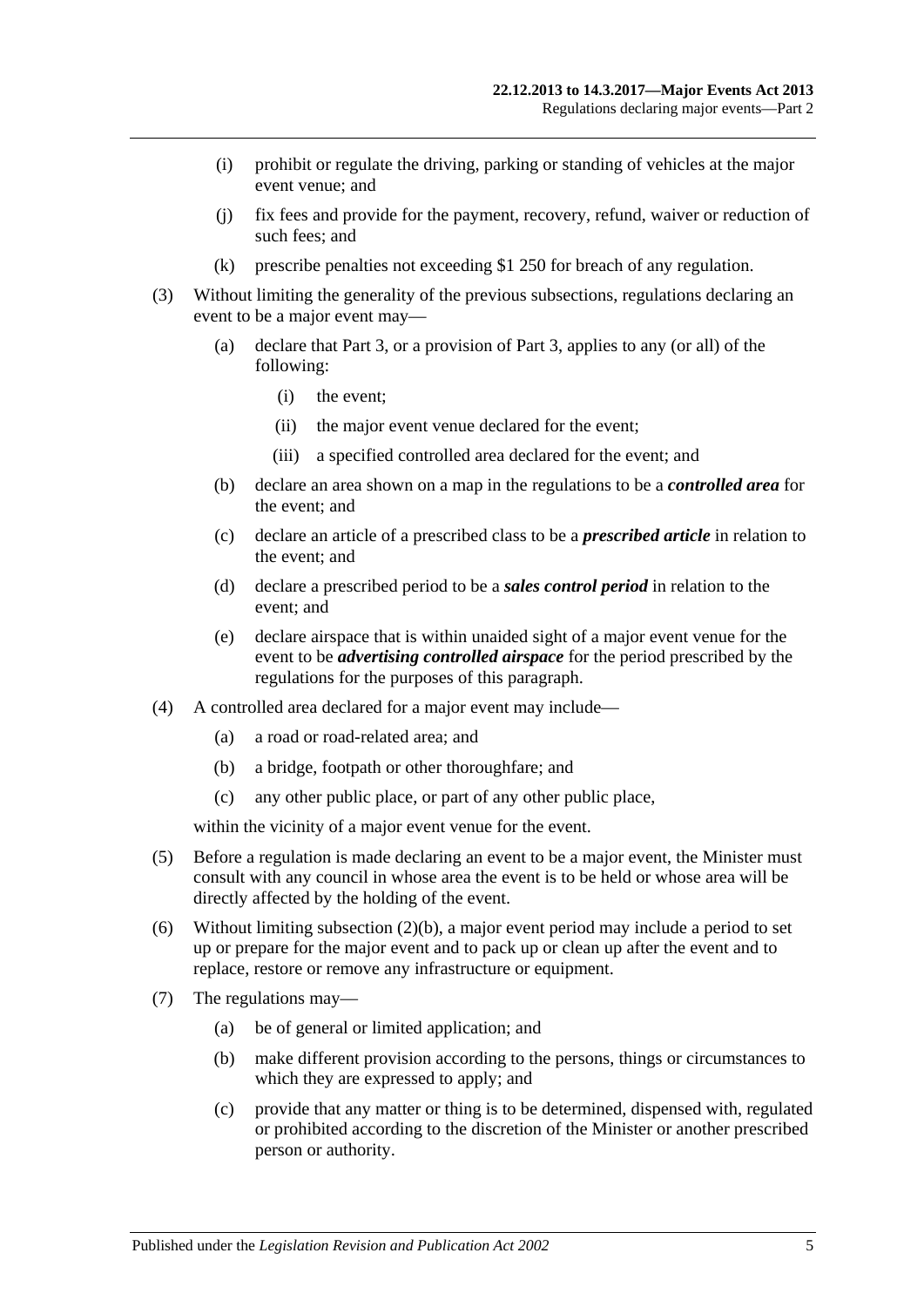- (i) prohibit or regulate the driving, parking or standing of vehicles at the major event venue; and
- (j) fix fees and provide for the payment, recovery, refund, waiver or reduction of such fees; and
- (k) prescribe penalties not exceeding \$1 250 for breach of any regulation.
- <span id="page-4-0"></span>(3) Without limiting the generality of the previous subsections, regulations declaring an event to be a major event may—
	- (a) declare that [Part](#page-5-0) 3, or a provision of [Part](#page-5-0) 3, applies to any (or all) of the following:
		- (i) the event;
		- (ii) the major event venue declared for the event;
		- (iii) a specified controlled area declared for the event; and
	- (b) declare an area shown on a map in the regulations to be a *controlled area* for the event; and
	- (c) declare an article of a prescribed class to be a *prescribed article* in relation to the event; and
	- (d) declare a prescribed period to be a *sales control period* in relation to the event; and
	- (e) declare airspace that is within unaided sight of a major event venue for the event to be *advertising controlled airspace* for the period prescribed by the regulations for the purposes of this paragraph.
- (4) A controlled area declared for a major event may include—
	- (a) a road or road-related area; and
	- (b) a bridge, footpath or other thoroughfare; and
	- (c) any other public place, or part of any other public place,

within the vicinity of a major event venue for the event.

- (5) Before a regulation is made declaring an event to be a major event, the Minister must consult with any council in whose area the event is to be held or whose area will be directly affected by the holding of the event.
- (6) Without limiting [subsection](#page-3-4)  $(2)(b)$ , a major event period may include a period to set up or prepare for the major event and to pack up or clean up after the event and to replace, restore or remove any infrastructure or equipment.
- (7) The regulations may—
	- (a) be of general or limited application; and
	- (b) make different provision according to the persons, things or circumstances to which they are expressed to apply; and
	- (c) provide that any matter or thing is to be determined, dispensed with, regulated or prohibited according to the discretion of the Minister or another prescribed person or authority.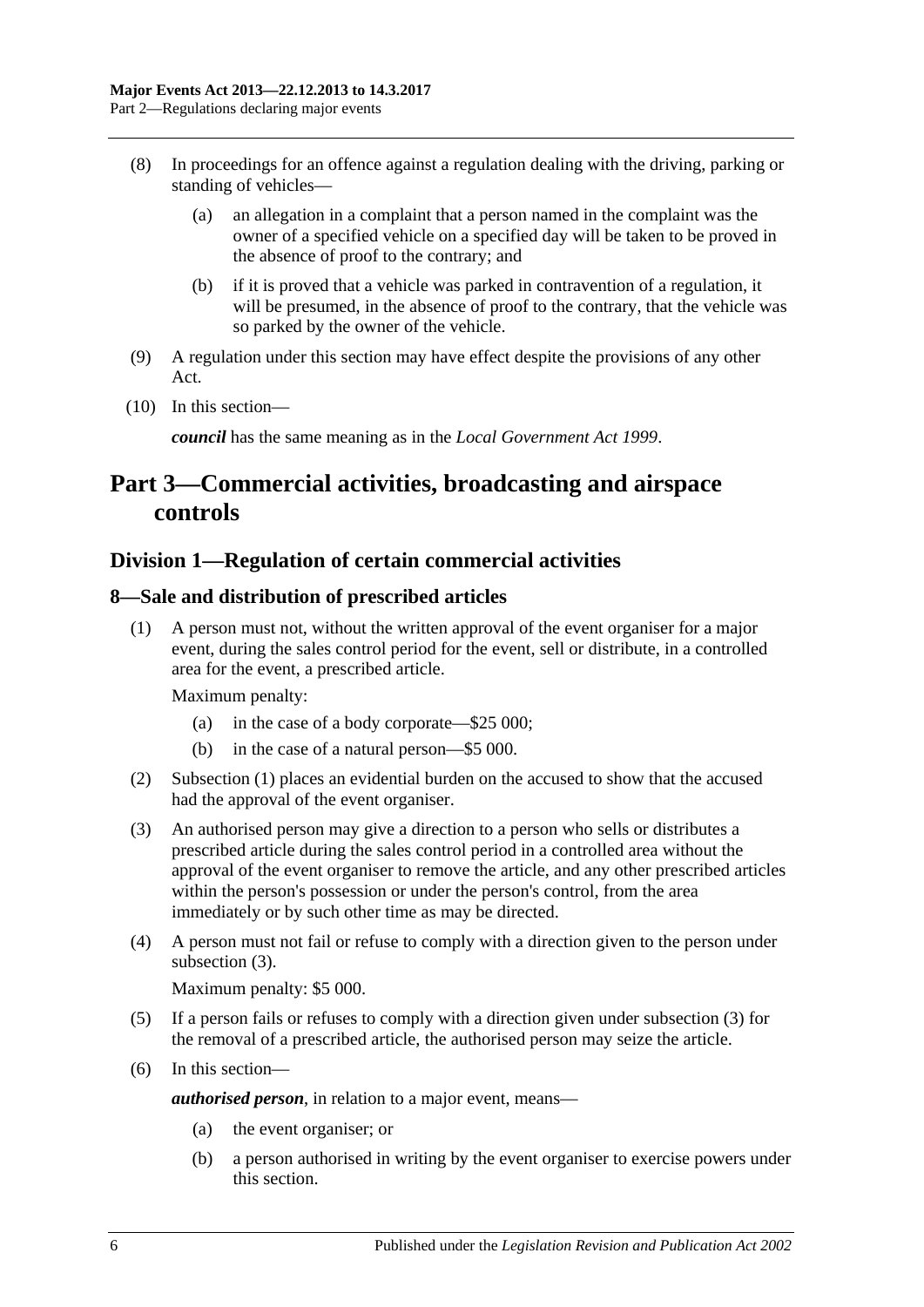- (8) In proceedings for an offence against a regulation dealing with the driving, parking or standing of vehicles—
	- (a) an allegation in a complaint that a person named in the complaint was the owner of a specified vehicle on a specified day will be taken to be proved in the absence of proof to the contrary; and
	- (b) if it is proved that a vehicle was parked in contravention of a regulation, it will be presumed, in the absence of proof to the contrary, that the vehicle was so parked by the owner of the vehicle.
- (9) A regulation under this section may have effect despite the provisions of any other Act.
- (10) In this section—

*council* has the same meaning as in the *[Local Government Act](http://www.legislation.sa.gov.au/index.aspx?action=legref&type=act&legtitle=Local%20Government%20Act%201999) 1999*.

# <span id="page-5-0"></span>**Part 3—Commercial activities, broadcasting and airspace controls**

# <span id="page-5-1"></span>**Division 1—Regulation of certain commercial activities**

### <span id="page-5-3"></span><span id="page-5-2"></span>**8—Sale and distribution of prescribed articles**

(1) A person must not, without the written approval of the event organiser for a major event, during the sales control period for the event, sell or distribute, in a controlled area for the event, a prescribed article.

Maximum penalty:

- (a) in the case of a body corporate—\$25 000;
- (b) in the case of a natural person—\$5 000.
- (2) [Subsection \(1\)](#page-5-3) places an evidential burden on the accused to show that the accused had the approval of the event organiser.
- <span id="page-5-4"></span>(3) An authorised person may give a direction to a person who sells or distributes a prescribed article during the sales control period in a controlled area without the approval of the event organiser to remove the article, and any other prescribed articles within the person's possession or under the person's control, from the area immediately or by such other time as may be directed.
- (4) A person must not fail or refuse to comply with a direction given to the person under [subsection](#page-5-4)  $(3)$ .

Maximum penalty: \$5 000.

- (5) If a person fails or refuses to comply with a direction given under [subsection](#page-5-4) (3) for the removal of a prescribed article, the authorised person may seize the article.
- (6) In this section—

*authorised person*, in relation to a major event, means—

- (a) the event organiser; or
- (b) a person authorised in writing by the event organiser to exercise powers under this section.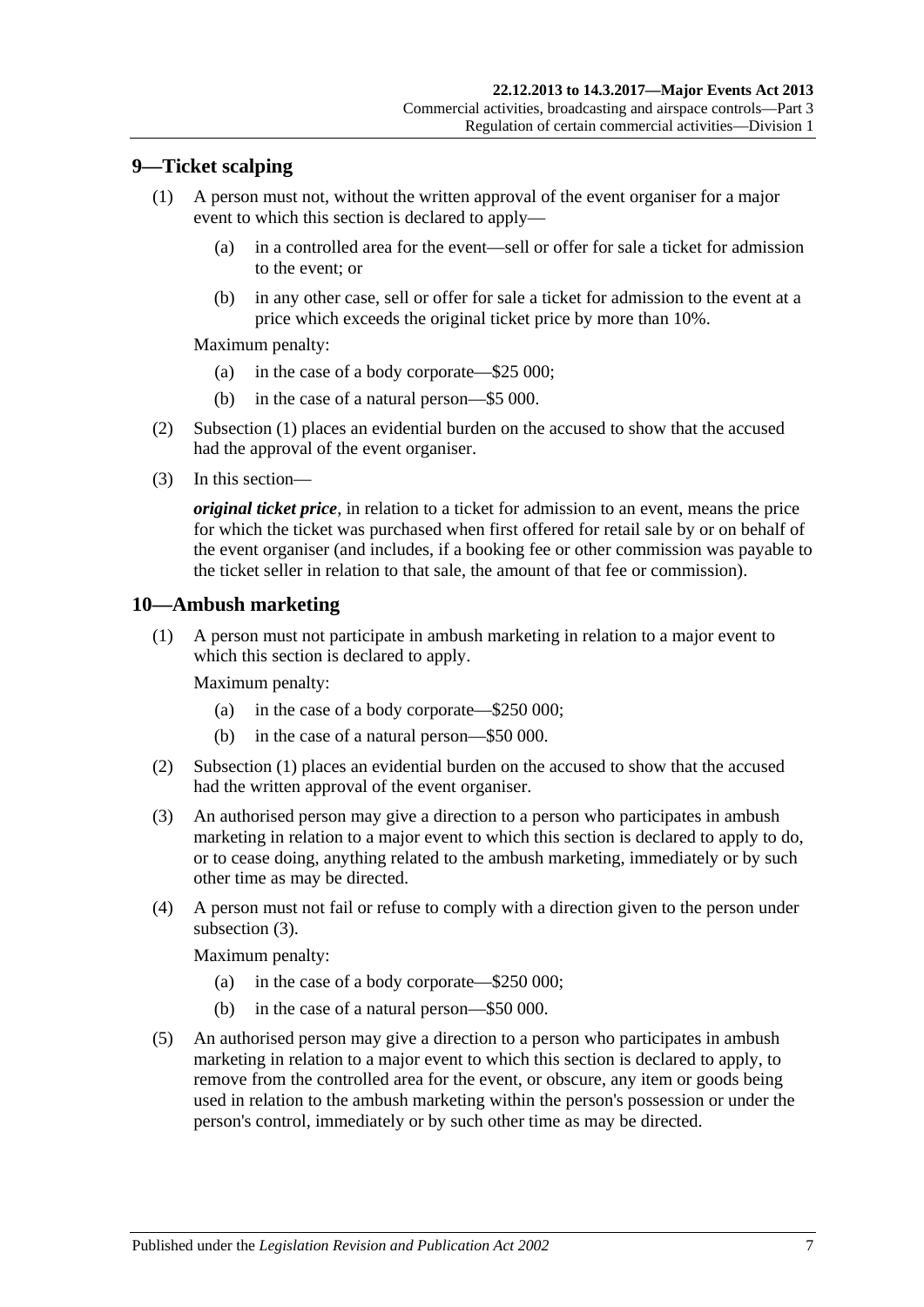# <span id="page-6-2"></span><span id="page-6-0"></span>**9—Ticket scalping**

- (1) A person must not, without the written approval of the event organiser for a major event to which this section is declared to apply—
	- (a) in a controlled area for the event—sell or offer for sale a ticket for admission to the event; or
	- (b) in any other case, sell or offer for sale a ticket for admission to the event at a price which exceeds the original ticket price by more than 10%.

Maximum penalty:

- (a) in the case of a body corporate—\$25 000;
- (b) in the case of a natural person—\$5 000.
- (2) [Subsection](#page-6-2) (1) places an evidential burden on the accused to show that the accused had the approval of the event organiser.
- (3) In this section—

*original ticket price*, in relation to a ticket for admission to an event, means the price for which the ticket was purchased when first offered for retail sale by or on behalf of the event organiser (and includes, if a booking fee or other commission was payable to the ticket seller in relation to that sale, the amount of that fee or commission).

# <span id="page-6-3"></span><span id="page-6-1"></span>**10—Ambush marketing**

(1) A person must not participate in ambush marketing in relation to a major event to which this section is declared to apply.

Maximum penalty:

- (a) in the case of a body corporate—\$250 000;
- (b) in the case of a natural person—\$50 000.
- (2) [Subsection \(1\)](#page-6-3) places an evidential burden on the accused to show that the accused had the written approval of the event organiser.
- <span id="page-6-4"></span>(3) An authorised person may give a direction to a person who participates in ambush marketing in relation to a major event to which this section is declared to apply to do, or to cease doing, anything related to the ambush marketing, immediately or by such other time as may be directed.
- (4) A person must not fail or refuse to comply with a direction given to the person under [subsection](#page-6-4) (3).

Maximum penalty:

- (a) in the case of a body corporate—\$250 000;
- (b) in the case of a natural person—\$50 000.
- <span id="page-6-5"></span>(5) An authorised person may give a direction to a person who participates in ambush marketing in relation to a major event to which this section is declared to apply, to remove from the controlled area for the event, or obscure, any item or goods being used in relation to the ambush marketing within the person's possession or under the person's control, immediately or by such other time as may be directed.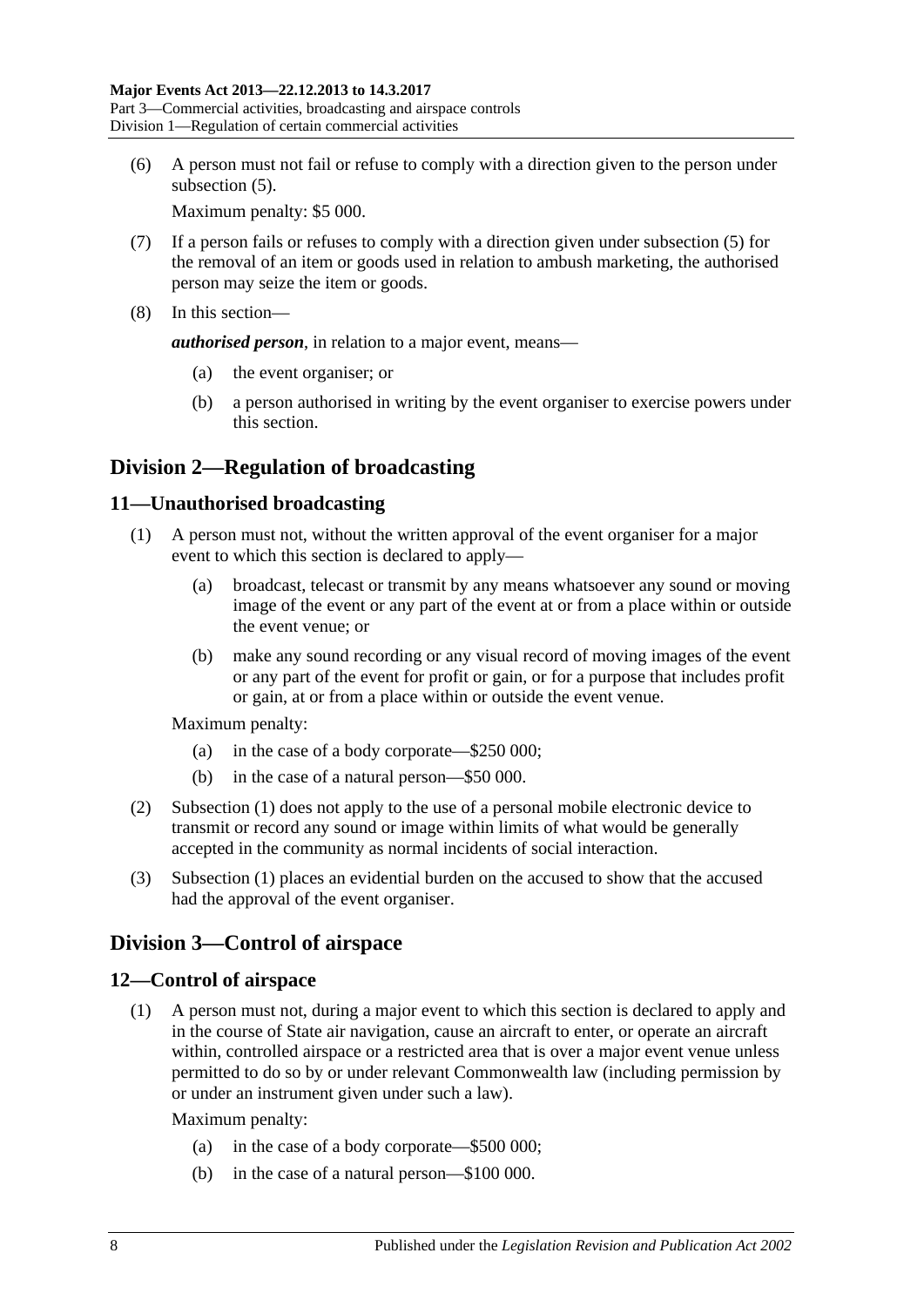(6) A person must not fail or refuse to comply with a direction given to the person under [subsection](#page-6-5)  $(5)$ .

Maximum penalty: \$5 000.

- (7) If a person fails or refuses to comply with a direction given under [subsection](#page-6-5) (5) for the removal of an item or goods used in relation to ambush marketing, the authorised person may seize the item or goods.
- (8) In this section—

*authorised person*, in relation to a major event, means—

- (a) the event organiser; or
- (b) a person authorised in writing by the event organiser to exercise powers under this section.

# <span id="page-7-0"></span>**Division 2—Regulation of broadcasting**

# <span id="page-7-4"></span><span id="page-7-1"></span>**11—Unauthorised broadcasting**

- (1) A person must not, without the written approval of the event organiser for a major event to which this section is declared to apply—
	- (a) broadcast, telecast or transmit by any means whatsoever any sound or moving image of the event or any part of the event at or from a place within or outside the event venue; or
	- (b) make any sound recording or any visual record of moving images of the event or any part of the event for profit or gain, or for a purpose that includes profit or gain, at or from a place within or outside the event venue.

Maximum penalty:

- (a) in the case of a body corporate—\$250 000;
- (b) in the case of a natural person—\$50 000.
- (2) [Subsection \(1\)](#page-7-4) does not apply to the use of a personal mobile electronic device to transmit or record any sound or image within limits of what would be generally accepted in the community as normal incidents of social interaction.
- (3) [Subsection \(1\)](#page-7-4) places an evidential burden on the accused to show that the accused had the approval of the event organiser.

# <span id="page-7-2"></span>**Division 3—Control of airspace**

# <span id="page-7-3"></span>**12—Control of airspace**

(1) A person must not, during a major event to which this section is declared to apply and in the course of State air navigation, cause an aircraft to enter, or operate an aircraft within, controlled airspace or a restricted area that is over a major event venue unless permitted to do so by or under relevant Commonwealth law (including permission by or under an instrument given under such a law).

Maximum penalty:

- (a) in the case of a body corporate—\$500 000;
- (b) in the case of a natural person—\$100 000.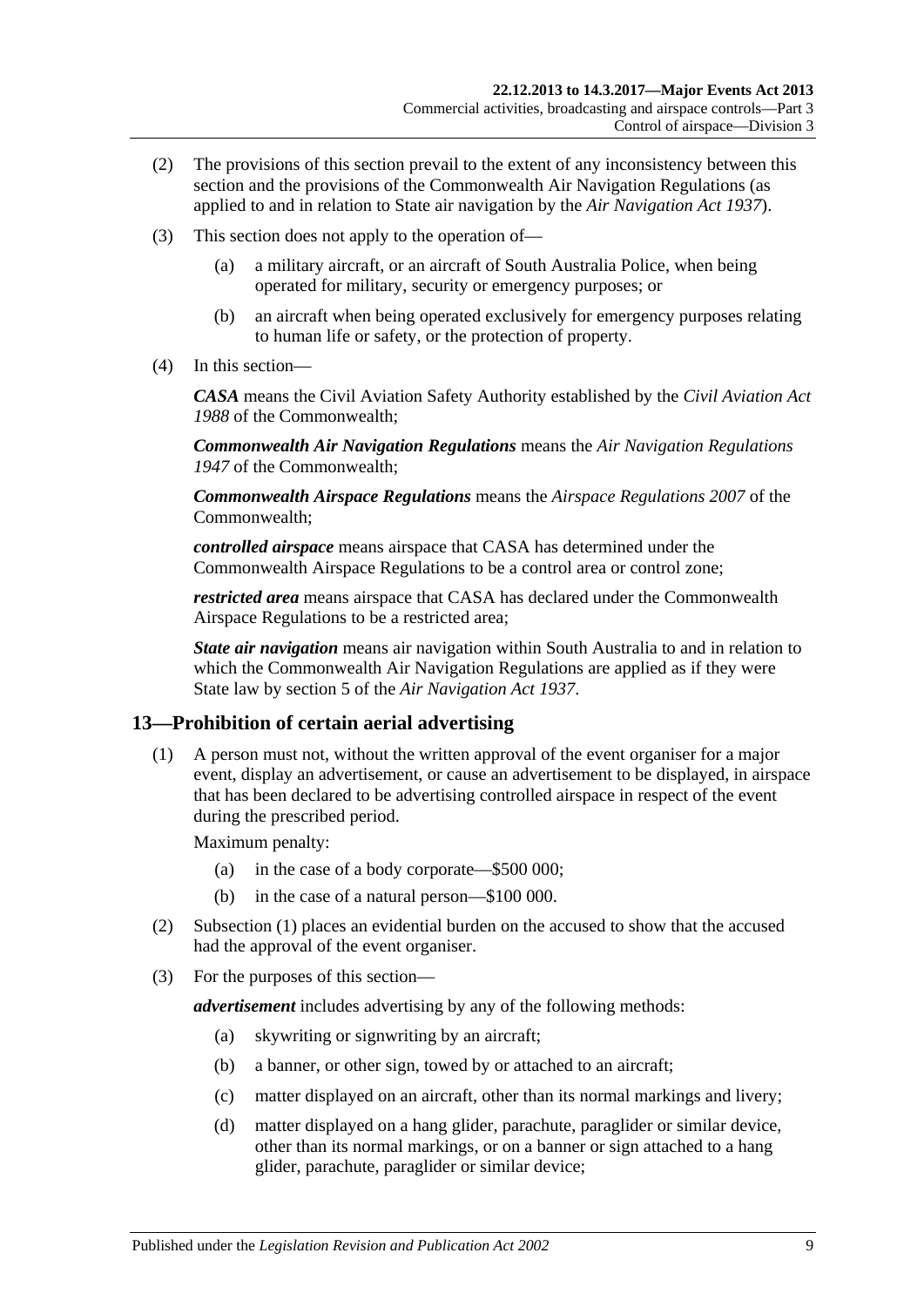- (2) The provisions of this section prevail to the extent of any inconsistency between this section and the provisions of the Commonwealth Air Navigation Regulations (as applied to and in relation to State air navigation by the *[Air Navigation Act](http://www.legislation.sa.gov.au/index.aspx?action=legref&type=act&legtitle=Air%20Navigation%20Act%201937) 1937*).
- (3) This section does not apply to the operation of—
	- (a) a military aircraft, or an aircraft of South Australia Police, when being operated for military, security or emergency purposes; or
	- (b) an aircraft when being operated exclusively for emergency purposes relating to human life or safety, or the protection of property.
- (4) In this section—

*CASA* means the Civil Aviation Safety Authority established by the *Civil Aviation Act 1988* of the Commonwealth;

*Commonwealth Air Navigation Regulations* means the *Air Navigation Regulations 1947* of the Commonwealth;

*Commonwealth Airspace Regulations* means the *Airspace Regulations 2007* of the Commonwealth;

*controlled airspace* means airspace that CASA has determined under the Commonwealth Airspace Regulations to be a control area or control zone;

*restricted area* means airspace that CASA has declared under the Commonwealth Airspace Regulations to be a restricted area;

*State air navigation* means air navigation within South Australia to and in relation to which the Commonwealth Air Navigation Regulations are applied as if they were State law by section 5 of the *[Air Navigation Act](http://www.legislation.sa.gov.au/index.aspx?action=legref&type=act&legtitle=Air%20Navigation%20Act%201937) 1937*.

# <span id="page-8-1"></span><span id="page-8-0"></span>**13—Prohibition of certain aerial advertising**

(1) A person must not, without the written approval of the event organiser for a major event, display an advertisement, or cause an advertisement to be displayed, in airspace that has been declared to be advertising controlled airspace in respect of the event during the prescribed period.

Maximum penalty:

- (a) in the case of a body corporate—\$500 000;
- (b) in the case of a natural person—\$100 000.
- (2) [Subsection \(1\)](#page-8-1) places an evidential burden on the accused to show that the accused had the approval of the event organiser.
- (3) For the purposes of this section—

*advertisement* includes advertising by any of the following methods:

- (a) skywriting or signwriting by an aircraft;
- (b) a banner, or other sign, towed by or attached to an aircraft;
- (c) matter displayed on an aircraft, other than its normal markings and livery;
- (d) matter displayed on a hang glider, parachute, paraglider or similar device, other than its normal markings, or on a banner or sign attached to a hang glider, parachute, paraglider or similar device;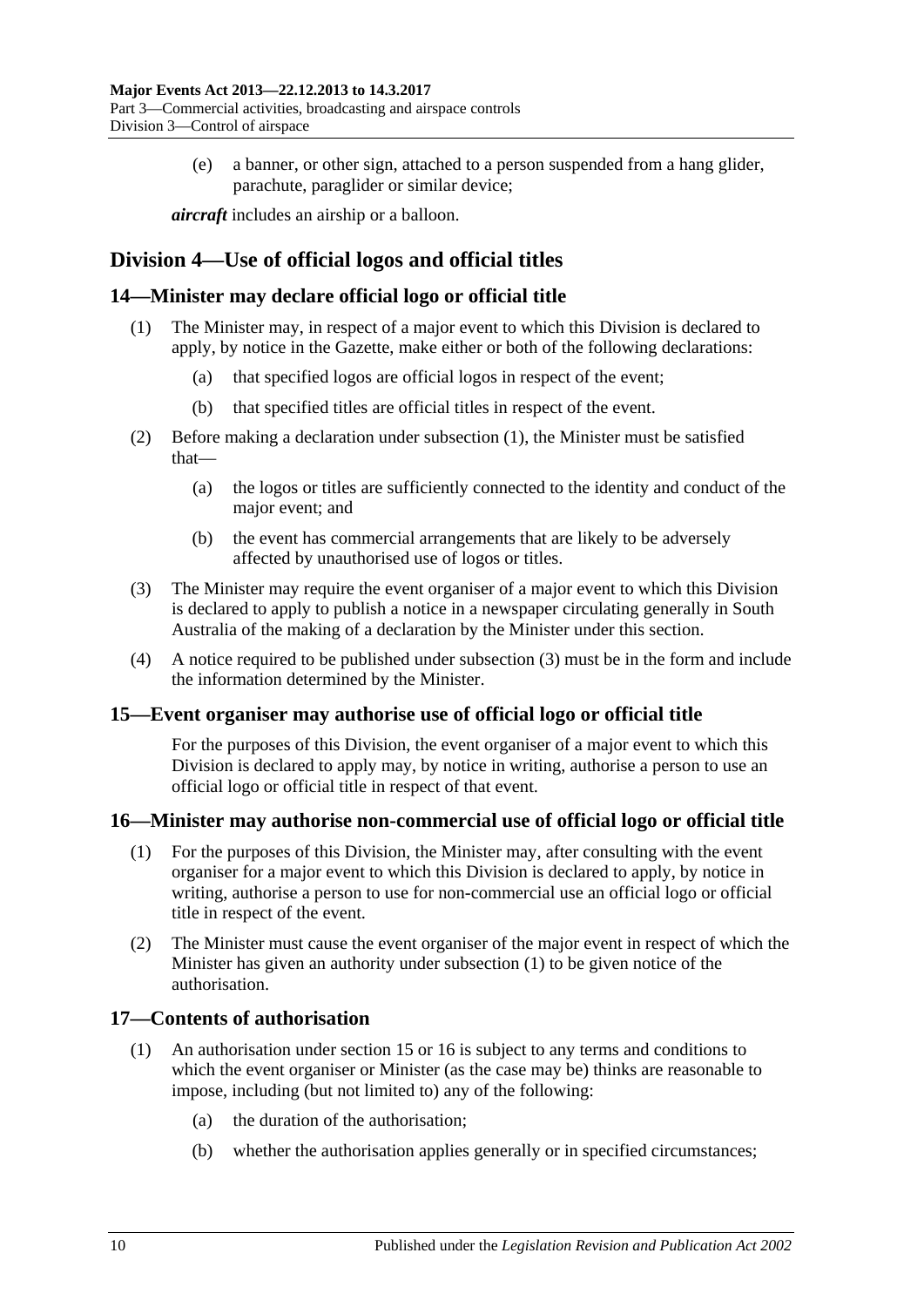(e) a banner, or other sign, attached to a person suspended from a hang glider, parachute, paraglider or similar device;

*aircraft* includes an airship or a balloon.

# <span id="page-9-0"></span>**Division 4—Use of official logos and official titles**

# <span id="page-9-5"></span><span id="page-9-1"></span>**14—Minister may declare official logo or official title**

- (1) The Minister may, in respect of a major event to which this Division is declared to apply, by notice in the Gazette, make either or both of the following declarations:
	- (a) that specified logos are official logos in respect of the event;
	- (b) that specified titles are official titles in respect of the event.
- (2) Before making a declaration under [subsection](#page-9-5) (1), the Minister must be satisfied that—
	- (a) the logos or titles are sufficiently connected to the identity and conduct of the major event; and
	- (b) the event has commercial arrangements that are likely to be adversely affected by unauthorised use of logos or titles.
- <span id="page-9-6"></span>(3) The Minister may require the event organiser of a major event to which this Division is declared to apply to publish a notice in a newspaper circulating generally in South Australia of the making of a declaration by the Minister under this section.
- (4) A notice required to be published under [subsection](#page-9-6) (3) must be in the form and include the information determined by the Minister.

# <span id="page-9-2"></span>**15—Event organiser may authorise use of official logo or official title**

For the purposes of this Division, the event organiser of a major event to which this Division is declared to apply may, by notice in writing, authorise a person to use an official logo or official title in respect of that event.

### <span id="page-9-7"></span><span id="page-9-3"></span>**16—Minister may authorise non-commercial use of official logo or official title**

- (1) For the purposes of this Division, the Minister may, after consulting with the event organiser for a major event to which this Division is declared to apply, by notice in writing, authorise a person to use for non-commercial use an official logo or official title in respect of the event.
- (2) The Minister must cause the event organiser of the major event in respect of which the Minister has given an authority under [subsection](#page-9-7) (1) to be given notice of the authorisation.

# <span id="page-9-4"></span>**17—Contents of authorisation**

- (1) An authorisation under [section](#page-9-2) 15 or [16](#page-9-3) is subject to any terms and conditions to which the event organiser or Minister (as the case may be) thinks are reasonable to impose, including (but not limited to) any of the following:
	- (a) the duration of the authorisation;
	- (b) whether the authorisation applies generally or in specified circumstances;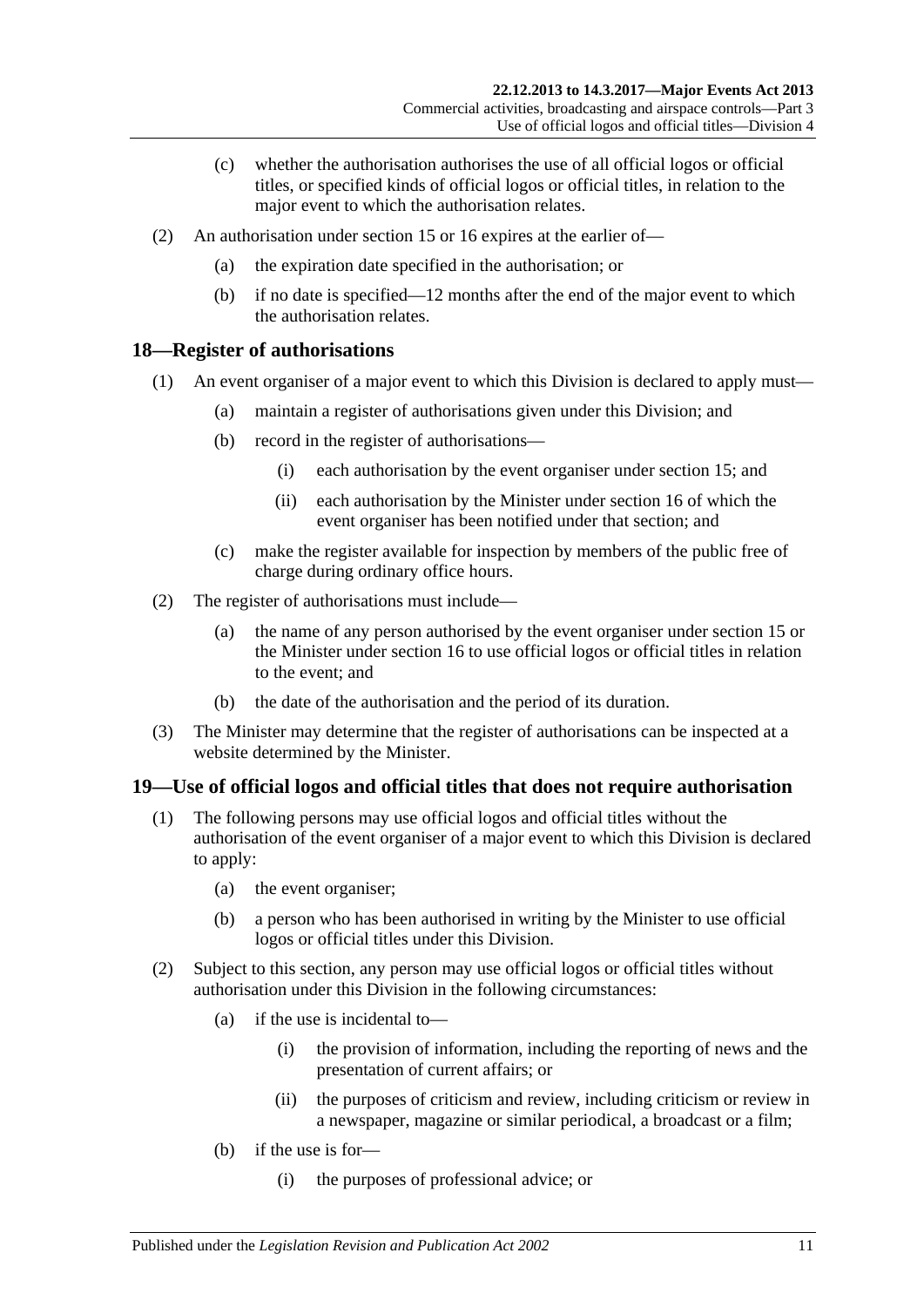- (c) whether the authorisation authorises the use of all official logos or official titles, or specified kinds of official logos or official titles, in relation to the major event to which the authorisation relates.
- (2) An authorisation under [section](#page-9-2) 15 or [16](#page-9-3) expires at the earlier of—
	- (a) the expiration date specified in the authorisation; or
	- (b) if no date is specified—12 months after the end of the major event to which the authorisation relates.

# <span id="page-10-0"></span>**18—Register of authorisations**

- (1) An event organiser of a major event to which this Division is declared to apply must—
	- (a) maintain a register of authorisations given under this Division; and
	- (b) record in the register of authorisations—
		- (i) each authorisation by the event organiser under [section](#page-9-2) 15; and
		- (ii) each authorisation by the Minister under [section](#page-9-3) 16 of which the event organiser has been notified under that section; and
	- (c) make the register available for inspection by members of the public free of charge during ordinary office hours.
- (2) The register of authorisations must include—
	- (a) the name of any person authorised by the event organiser under [section](#page-9-2) 15 or the Minister under [section](#page-9-3) 16 to use official logos or official titles in relation to the event; and
	- (b) the date of the authorisation and the period of its duration.
- (3) The Minister may determine that the register of authorisations can be inspected at a website determined by the Minister.

# <span id="page-10-1"></span>**19—Use of official logos and official titles that does not require authorisation**

- (1) The following persons may use official logos and official titles without the authorisation of the event organiser of a major event to which this Division is declared to apply:
	- (a) the event organiser;
	- (b) a person who has been authorised in writing by the Minister to use official logos or official titles under this Division.
- <span id="page-10-2"></span>(2) Subject to this section, any person may use official logos or official titles without authorisation under this Division in the following circumstances:
	- (a) if the use is incidental to—
		- (i) the provision of information, including the reporting of news and the presentation of current affairs; or
		- (ii) the purposes of criticism and review, including criticism or review in a newspaper, magazine or similar periodical, a broadcast or a film;
	- (b) if the use is for—
		- (i) the purposes of professional advice; or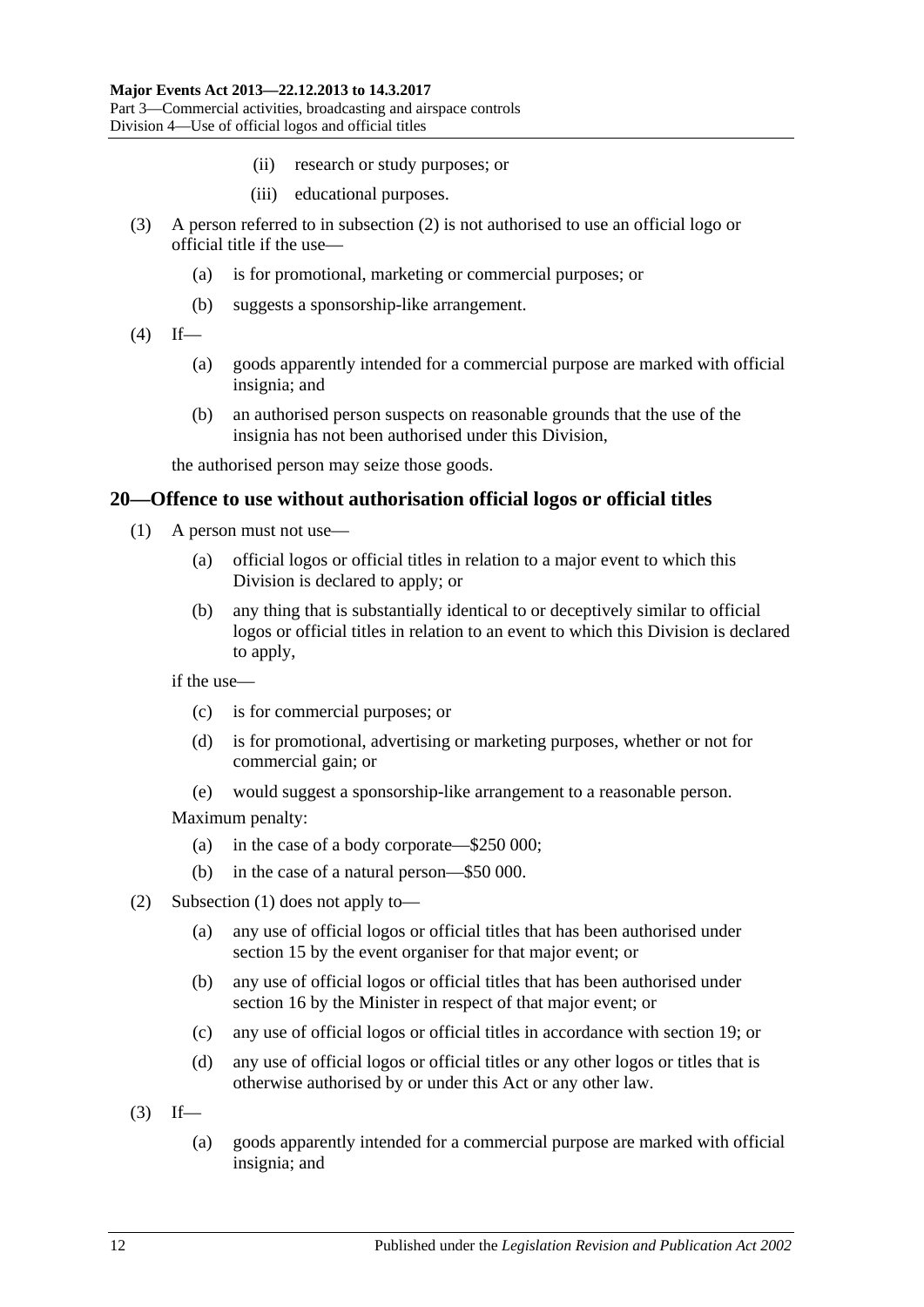- (ii) research or study purposes; or
- (iii) educational purposes.
- (3) A person referred to in [subsection](#page-10-2) (2) is not authorised to use an official logo or official title if the use—
	- (a) is for promotional, marketing or commercial purposes; or
	- (b) suggests a sponsorship-like arrangement.
- $(4)$  If—
	- (a) goods apparently intended for a commercial purpose are marked with official insignia; and
	- (b) an authorised person suspects on reasonable grounds that the use of the insignia has not been authorised under this Division,

the authorised person may seize those goods.

### <span id="page-11-1"></span><span id="page-11-0"></span>**20—Offence to use without authorisation official logos or official titles**

- (1) A person must not use—
	- (a) official logos or official titles in relation to a major event to which this Division is declared to apply; or
	- (b) any thing that is substantially identical to or deceptively similar to official logos or official titles in relation to an event to which this Division is declared to apply,

if the use—

- (c) is for commercial purposes; or
- (d) is for promotional, advertising or marketing purposes, whether or not for commercial gain; or
- (e) would suggest a sponsorship-like arrangement to a reasonable person.

Maximum penalty:

- (a) in the case of a body corporate—\$250 000;
- (b) in the case of a natural person—\$50 000.
- (2) [Subsection \(1\)](#page-11-1) does not apply to—
	- (a) any use of official logos or official titles that has been authorised under [section](#page-9-2) 15 by the event organiser for that major event; or
	- (b) any use of official logos or official titles that has been authorised under [section](#page-9-3) 16 by the Minister in respect of that major event; or
	- (c) any use of official logos or official titles in accordance with [section](#page-10-1) 19; or
	- (d) any use of official logos or official titles or any other logos or titles that is otherwise authorised by or under this Act or any other law.
- $(3)$  If—
	- (a) goods apparently intended for a commercial purpose are marked with official insignia; and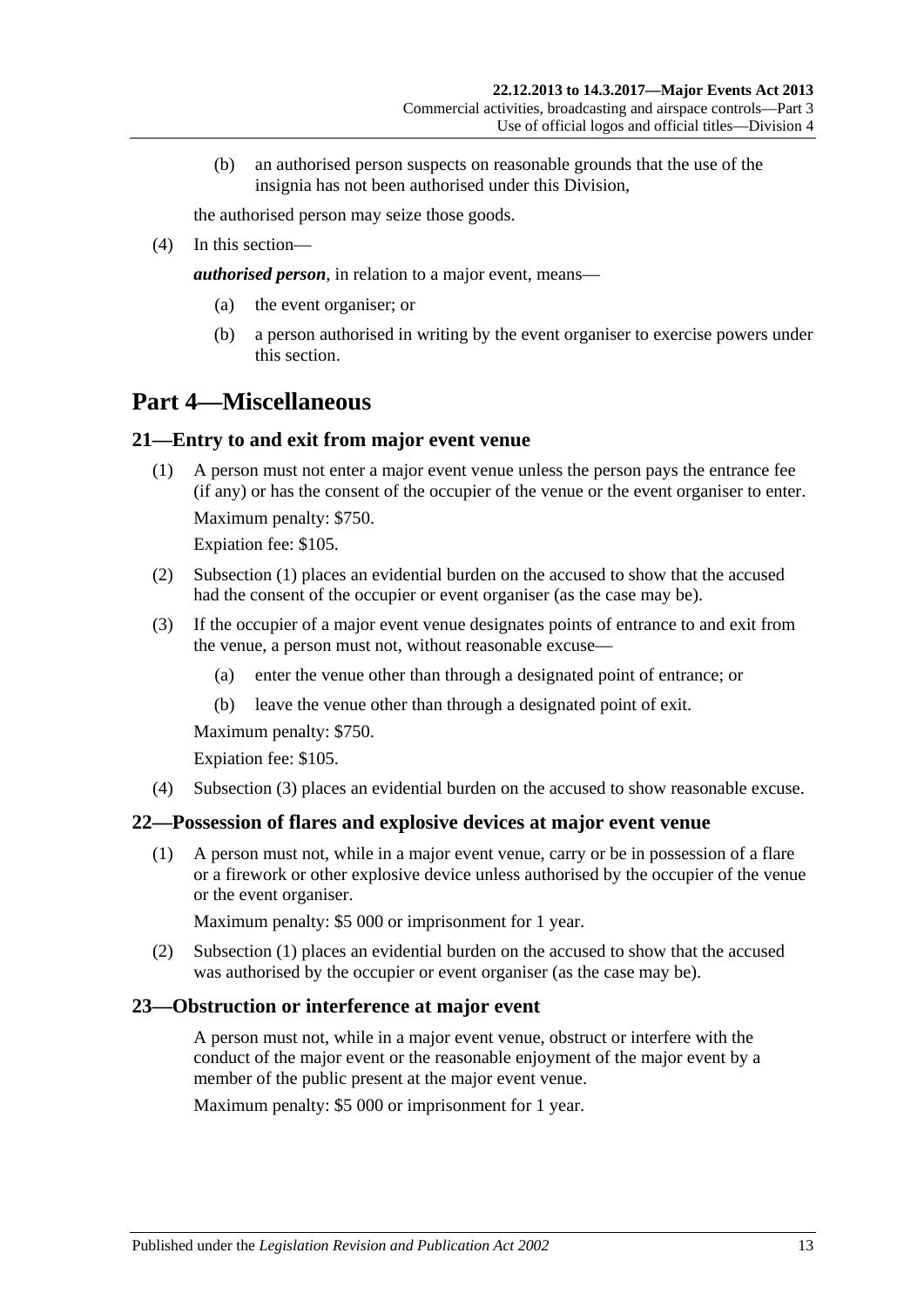(b) an authorised person suspects on reasonable grounds that the use of the insignia has not been authorised under this Division,

the authorised person may seize those goods.

(4) In this section—

*authorised person*, in relation to a major event, means—

- (a) the event organiser; or
- (b) a person authorised in writing by the event organiser to exercise powers under this section.

# <span id="page-12-0"></span>**Part 4—Miscellaneous**

# <span id="page-12-4"></span><span id="page-12-1"></span>**21—Entry to and exit from major event venue**

(1) A person must not enter a major event venue unless the person pays the entrance fee (if any) or has the consent of the occupier of the venue or the event organiser to enter.

Maximum penalty: \$750.

Expiation fee: \$105.

- (2) [Subsection \(1\)](#page-12-4) places an evidential burden on the accused to show that the accused had the consent of the occupier or event organiser (as the case may be).
- <span id="page-12-5"></span>(3) If the occupier of a major event venue designates points of entrance to and exit from the venue, a person must not, without reasonable excuse—
	- (a) enter the venue other than through a designated point of entrance; or
	- (b) leave the venue other than through a designated point of exit.

Maximum penalty: \$750.

Expiation fee: \$105.

(4) [Subsection](#page-12-5) (3) places an evidential burden on the accused to show reasonable excuse.

# <span id="page-12-6"></span><span id="page-12-2"></span>**22—Possession of flares and explosive devices at major event venue**

(1) A person must not, while in a major event venue, carry or be in possession of a flare or a firework or other explosive device unless authorised by the occupier of the venue or the event organiser.

Maximum penalty: \$5 000 or imprisonment for 1 year.

(2) [Subsection \(1\)](#page-12-6) places an evidential burden on the accused to show that the accused was authorised by the occupier or event organiser (as the case may be).

### <span id="page-12-3"></span>**23—Obstruction or interference at major event**

A person must not, while in a major event venue, obstruct or interfere with the conduct of the major event or the reasonable enjoyment of the major event by a member of the public present at the major event venue.

Maximum penalty: \$5 000 or imprisonment for 1 year.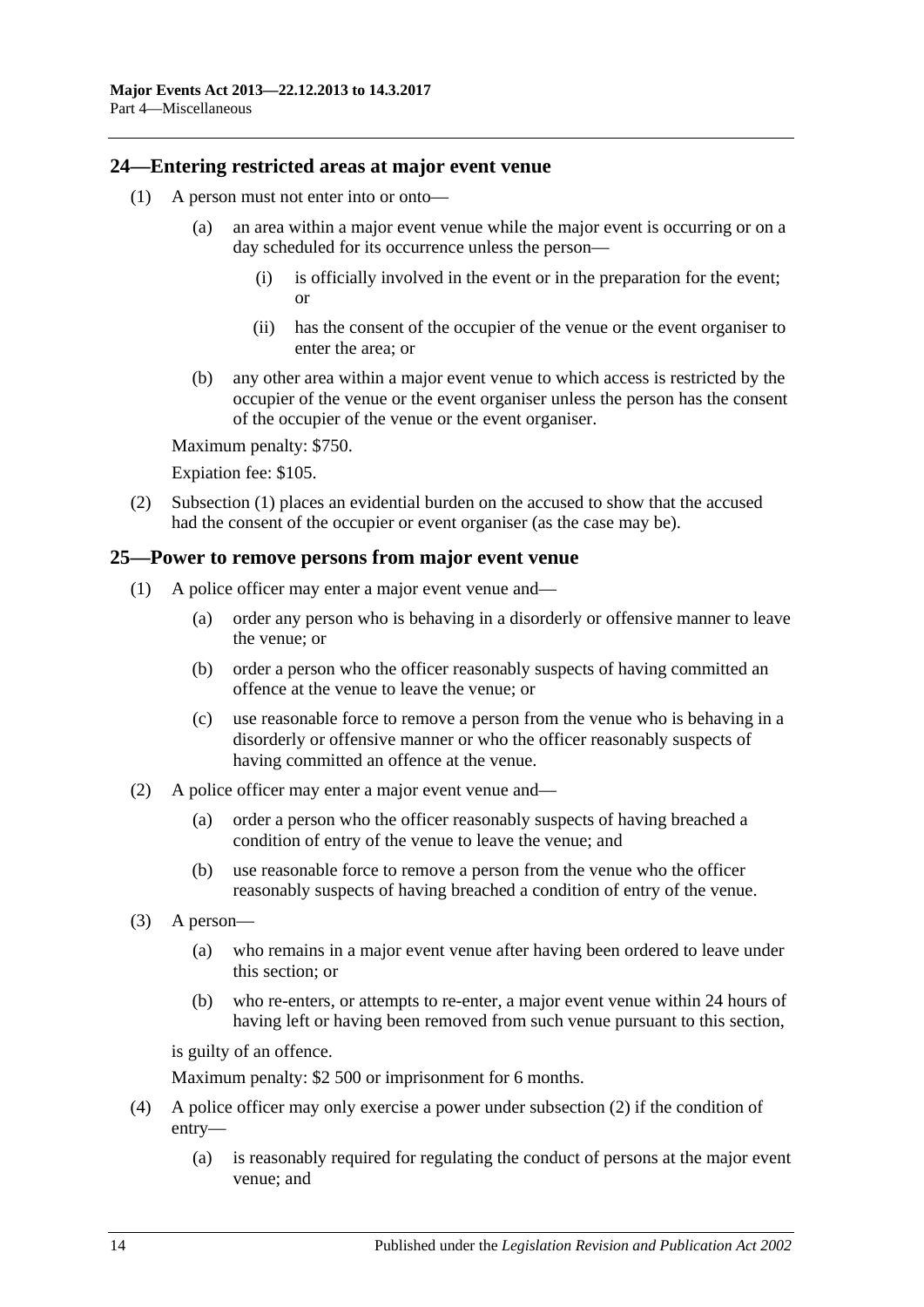### <span id="page-13-2"></span><span id="page-13-0"></span>**24—Entering restricted areas at major event venue**

- (1) A person must not enter into or onto—
	- (a) an area within a major event venue while the major event is occurring or on a day scheduled for its occurrence unless the person—
		- (i) is officially involved in the event or in the preparation for the event; or
		- (ii) has the consent of the occupier of the venue or the event organiser to enter the area; or
	- (b) any other area within a major event venue to which access is restricted by the occupier of the venue or the event organiser unless the person has the consent of the occupier of the venue or the event organiser.

Maximum penalty: \$750.

Expiation fee: \$105.

(2) [Subsection \(1\)](#page-13-2) places an evidential burden on the accused to show that the accused had the consent of the occupier or event organiser (as the case may be).

### <span id="page-13-1"></span>**25—Power to remove persons from major event venue**

- (1) A police officer may enter a major event venue and—
	- (a) order any person who is behaving in a disorderly or offensive manner to leave the venue; or
	- (b) order a person who the officer reasonably suspects of having committed an offence at the venue to leave the venue; or
	- (c) use reasonable force to remove a person from the venue who is behaving in a disorderly or offensive manner or who the officer reasonably suspects of having committed an offence at the venue.
- <span id="page-13-3"></span>(2) A police officer may enter a major event venue and—
	- (a) order a person who the officer reasonably suspects of having breached a condition of entry of the venue to leave the venue; and
	- (b) use reasonable force to remove a person from the venue who the officer reasonably suspects of having breached a condition of entry of the venue.
- (3) A person—
	- (a) who remains in a major event venue after having been ordered to leave under this section; or
	- (b) who re-enters, or attempts to re-enter, a major event venue within 24 hours of having left or having been removed from such venue pursuant to this section,

is guilty of an offence.

Maximum penalty: \$2 500 or imprisonment for 6 months.

- (4) A police officer may only exercise a power under [subsection](#page-13-3) (2) if the condition of entry—
	- (a) is reasonably required for regulating the conduct of persons at the major event venue; and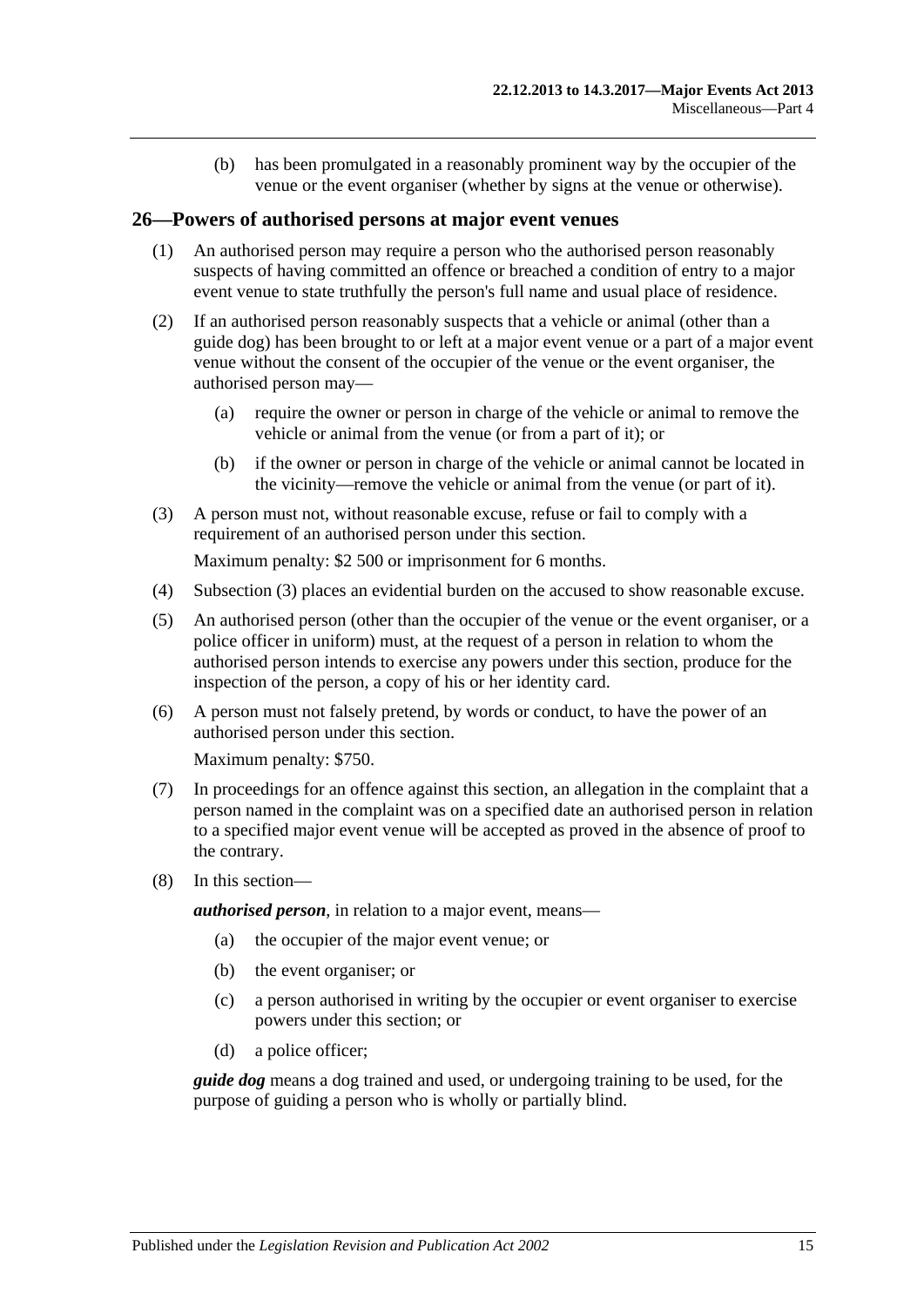(b) has been promulgated in a reasonably prominent way by the occupier of the venue or the event organiser (whether by signs at the venue or otherwise).

### <span id="page-14-0"></span>**26—Powers of authorised persons at major event venues**

- (1) An authorised person may require a person who the authorised person reasonably suspects of having committed an offence or breached a condition of entry to a major event venue to state truthfully the person's full name and usual place of residence.
- (2) If an authorised person reasonably suspects that a vehicle or animal (other than a guide dog) has been brought to or left at a major event venue or a part of a major event venue without the consent of the occupier of the venue or the event organiser, the authorised person may—
	- (a) require the owner or person in charge of the vehicle or animal to remove the vehicle or animal from the venue (or from a part of it); or
	- (b) if the owner or person in charge of the vehicle or animal cannot be located in the vicinity—remove the vehicle or animal from the venue (or part of it).
- <span id="page-14-1"></span>(3) A person must not, without reasonable excuse, refuse or fail to comply with a requirement of an authorised person under this section.

Maximum penalty: \$2 500 or imprisonment for 6 months.

- (4) [Subsection \(3\)](#page-14-1) places an evidential burden on the accused to show reasonable excuse.
- (5) An authorised person (other than the occupier of the venue or the event organiser, or a police officer in uniform) must, at the request of a person in relation to whom the authorised person intends to exercise any powers under this section, produce for the inspection of the person, a copy of his or her identity card.
- (6) A person must not falsely pretend, by words or conduct, to have the power of an authorised person under this section.

Maximum penalty: \$750.

- (7) In proceedings for an offence against this section, an allegation in the complaint that a person named in the complaint was on a specified date an authorised person in relation to a specified major event venue will be accepted as proved in the absence of proof to the contrary.
- (8) In this section—

*authorised person*, in relation to a major event, means—

- (a) the occupier of the major event venue; or
- (b) the event organiser; or
- (c) a person authorised in writing by the occupier or event organiser to exercise powers under this section; or
- (d) a police officer;

*guide dog* means a dog trained and used, or undergoing training to be used, for the purpose of guiding a person who is wholly or partially blind.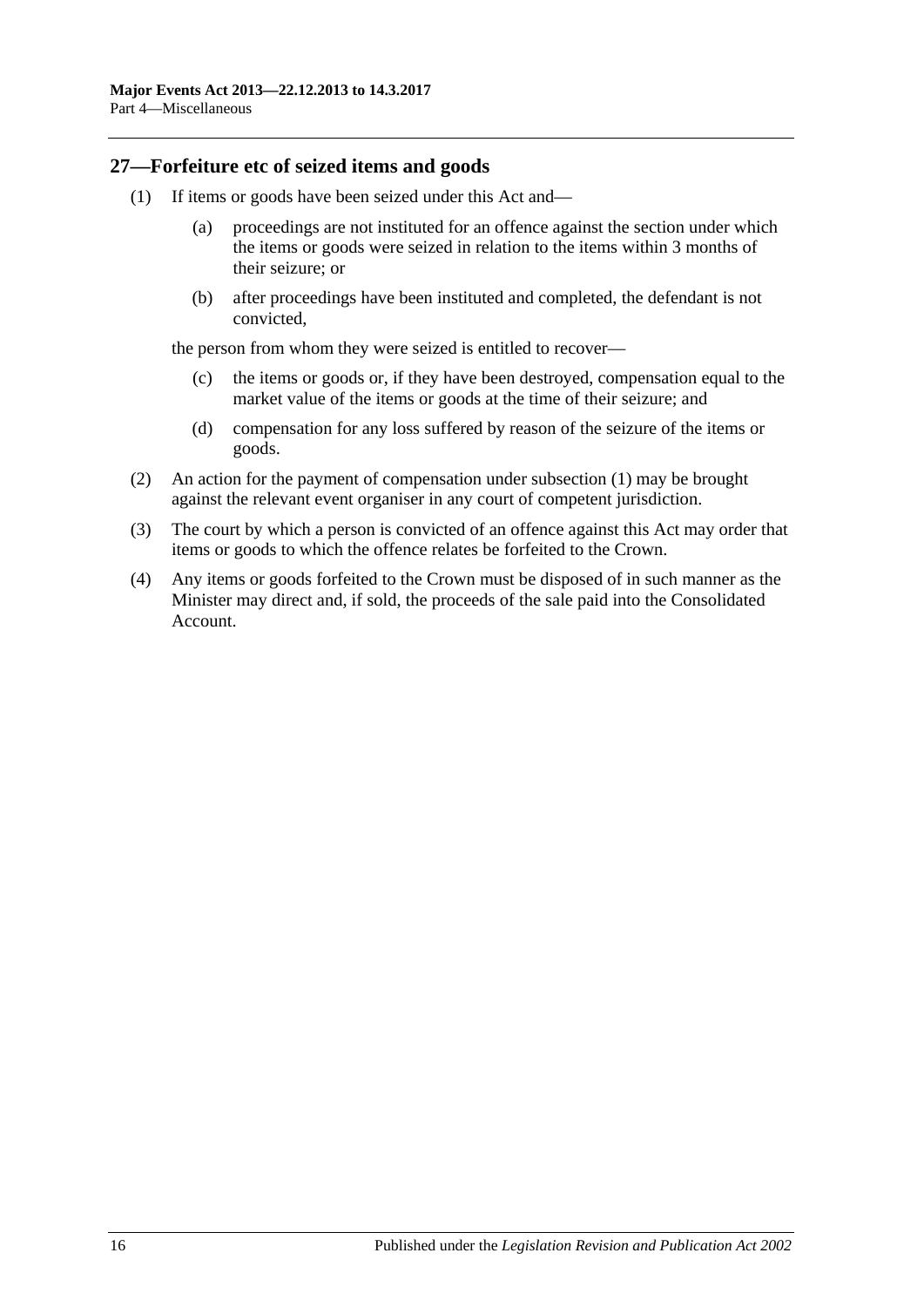### <span id="page-15-1"></span><span id="page-15-0"></span>**27—Forfeiture etc of seized items and goods**

- (1) If items or goods have been seized under this Act and—
	- (a) proceedings are not instituted for an offence against the section under which the items or goods were seized in relation to the items within 3 months of their seizure; or
	- (b) after proceedings have been instituted and completed, the defendant is not convicted,

the person from whom they were seized is entitled to recover—

- (c) the items or goods or, if they have been destroyed, compensation equal to the market value of the items or goods at the time of their seizure; and
- (d) compensation for any loss suffered by reason of the seizure of the items or goods.
- (2) An action for the payment of compensation under [subsection](#page-15-1) (1) may be brought against the relevant event organiser in any court of competent jurisdiction.
- (3) The court by which a person is convicted of an offence against this Act may order that items or goods to which the offence relates be forfeited to the Crown.
- (4) Any items or goods forfeited to the Crown must be disposed of in such manner as the Minister may direct and, if sold, the proceeds of the sale paid into the Consolidated Account.